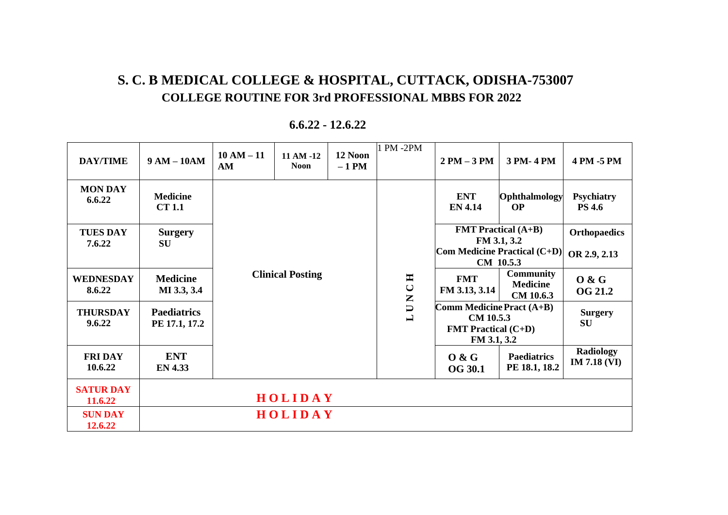## **S. C. B MEDICAL COLLEGE & HOSPITAL, CUTTACK, ODISHA-753007 COLLEGE ROUTINE FOR 3rd PROFESSIONAL MBBS FOR 2022**

| <b>DAY/TIME</b>             | $9 AM - 10AM$                       | $10 AM - 11$<br>AM      | 11 AM -12<br><b>Noon</b> | 12 Noon<br>$-1$ PM | 1 PM -2PM                       | $2 PM - 3 PM$                                                                              | 3 PM-4 PM                                        | 4 PM -5 PM                         |
|-----------------------------|-------------------------------------|-------------------------|--------------------------|--------------------|---------------------------------|--------------------------------------------------------------------------------------------|--------------------------------------------------|------------------------------------|
| <b>MON DAY</b><br>6.6.22    | <b>Medicine</b><br><b>CT 1.1</b>    |                         |                          |                    |                                 | <b>ENT</b><br><b>EN 4.14</b>                                                               | Ophthalmology<br><b>OP</b>                       | <b>Psychiatry</b><br><b>PS 4.6</b> |
| <b>TUES DAY</b>             | <b>Surgery</b>                      | <b>Clinical Posting</b> |                          |                    | $C$ H                           | <b>FMT</b> Practical $(A+B)$<br>FM 3.1, 3.2                                                |                                                  | <b>Orthopaedics</b>                |
| 7.6.22                      | <b>SU</b>                           |                         |                          |                    |                                 | <b>Com Medicine Practical (C+D)</b><br>CM 10.5.3                                           |                                                  | OR 2.9, 2.13                       |
| <b>WEDNESDAY</b><br>8.6.22  | <b>Medicine</b><br>MI 3.3, 3.4      |                         |                          |                    |                                 | <b>FMT</b><br>FM 3.13, 3.14                                                                | <b>Community</b><br><b>Medicine</b><br>CM 10.6.3 | 0 & G<br><b>OG 21.2</b>            |
| <b>THURSDAY</b><br>9.6.22   | <b>Paediatrics</b><br>PE 17.1, 17.2 |                         |                          |                    | U N<br>$\overline{\phantom{0}}$ | Comm Medicine Pract (A+B)<br><b>CM 10.5.3</b><br><b>FMT Practical (C+D)</b><br>FM 3.1, 3.2 |                                                  | <b>Surgery</b><br><b>SU</b>        |
| <b>FRIDAY</b><br>10.6.22    | <b>ENT</b><br><b>EN 4.33</b>        |                         |                          |                    |                                 | 0 & G<br><b>OG 30.1</b>                                                                    | <b>Paediatrics</b><br>PE 18.1, 18.2              | Radiology<br><b>IM 7.18 (VI)</b>   |
| <b>SATUR DAY</b><br>11.6.22 |                                     |                         | HOLIDAY                  |                    |                                 |                                                                                            |                                                  |                                    |
| <b>SUN DAY</b><br>12.6.22   |                                     |                         | HOLIDAY                  |                    |                                 |                                                                                            |                                                  |                                    |

#### **6.6.22 - 12.6.22**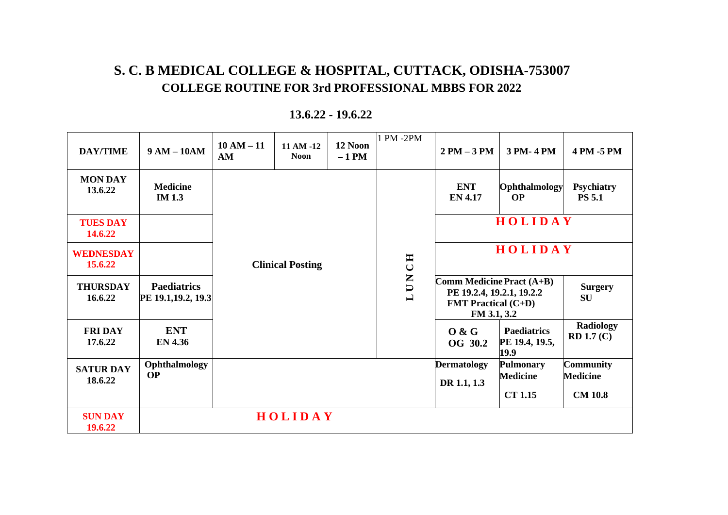# **S. C. B MEDICAL COLLEGE & HOSPITAL, CUTTACK, ODISHA-753007 COLLEGE ROUTINE FOR 3rd PROFESSIONAL MBBS FOR 2022**

| <b>DAY/TIME</b>             | $9 AM - 10AM$                             | $10 AM - 11$<br>AM | 11 AM -12<br><b>Noon</b> | 12 Noon<br>$-1$ PM | 1 PM -2PM                              | $2 PM - 3 PM$                                                                                                           | 3 PM-4 PM                                             | 4 PM -5 PM                                            |
|-----------------------------|-------------------------------------------|--------------------|--------------------------|--------------------|----------------------------------------|-------------------------------------------------------------------------------------------------------------------------|-------------------------------------------------------|-------------------------------------------------------|
| <b>MON DAY</b><br>13.6.22   | <b>Medicine</b><br><b>IM</b> 1.3          |                    |                          |                    |                                        | <b>ENT</b><br><b>EN 4.17</b>                                                                                            | Ophthalmology<br><b>OP</b>                            | <b>Psychiatry</b><br><b>PS 5.1</b>                    |
| <b>TUES DAY</b><br>14.6.22  |                                           |                    |                          |                    | CHC<br>U N<br>$\overline{\phantom{0}}$ | HOLIDAY                                                                                                                 |                                                       |                                                       |
| <b>WEDNESDAY</b><br>15.6.22 |                                           |                    | <b>Clinical Posting</b>  |                    |                                        | HOLIDAY                                                                                                                 |                                                       |                                                       |
| <b>THURSDAY</b><br>16.6.22  | <b>Paediatrics</b><br>PE 19.1, 19.2, 19.3 |                    |                          |                    |                                        | <b>Comm Medicine Pract <math>(A+B)</math></b><br>PE 19.2.4, 19.2.1, 19.2.2<br><b>FMT Practical (C+D)</b><br>FM 3.1, 3.2 |                                                       | <b>Surgery</b><br><b>SU</b>                           |
| <b>FRIDAY</b><br>17.6.22    | ENT<br><b>EN 4.36</b>                     |                    |                          |                    |                                        | 0 & G<br>OG 30.2                                                                                                        | <b>Paediatrics</b><br>PE 19.4, 19.5,<br>19.9          | <b>Radiology</b><br>RD 1.7(C)                         |
| <b>SATUR DAY</b><br>18.6.22 | Ophthalmology<br><b>OP</b>                |                    |                          |                    |                                        | <b>Dermatology</b><br>DR 1.1, 1.3                                                                                       | <b>Pulmonary</b><br><b>Medicine</b><br><b>CT 1.15</b> | <b>Community</b><br><b>Medicine</b><br><b>CM 10.8</b> |
| <b>SUN DAY</b><br>19.6.22   |                                           |                    | HOLIDAY                  |                    |                                        |                                                                                                                         |                                                       |                                                       |

#### **13.6.22 - 19.6.22**